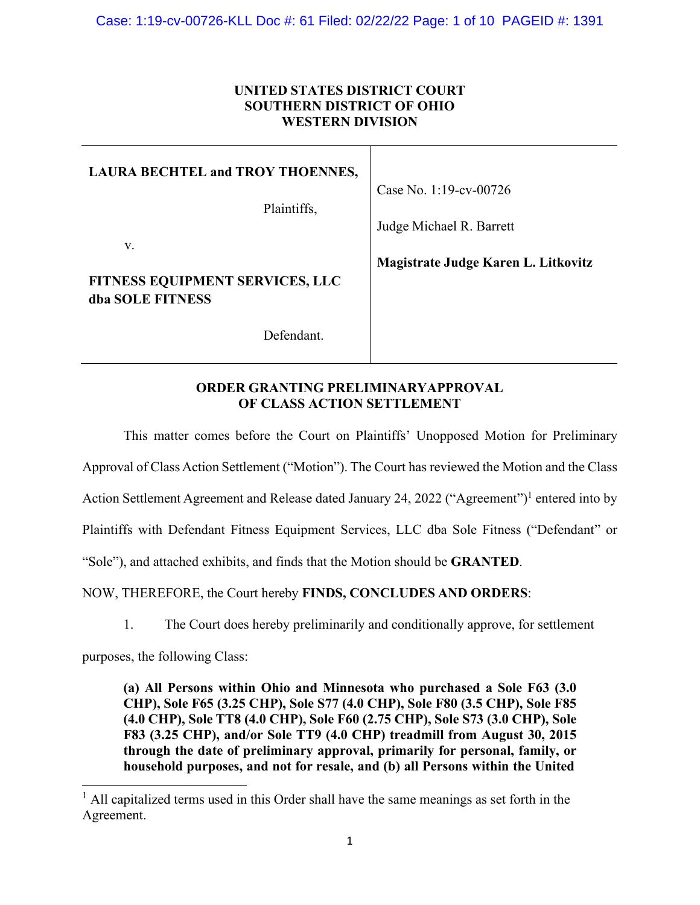## **UNITED STATES DISTRICT COURT SOUTHERN DISTRICT OF OHIO WESTERN DIVISION**

| <b>LAURA BECHTEL and TROY THOENNES,</b><br>Plaintiffs,           | Case No. 1:19-cv-00726<br>Judge Michael R. Barrett |
|------------------------------------------------------------------|----------------------------------------------------|
| V.<br><b>FITNESS EQUIPMENT SERVICES, LLC</b><br>dba SOLE FITNESS | Magistrate Judge Karen L. Litkovitz                |
| Defendant.                                                       |                                                    |

### **ORDER GRANTING PRELIMINARYAPPROVAL OF CLASS ACTION SETTLEMENT**

This matter comes before the Court on Plaintiffs' Unopposed Motion for Preliminary Approval of Class Action Settlement ("Motion"). The Court has reviewed the Motion and the Class Action Settlement Agreement and Release dated January 24, 2022 ("Agreement")<sup>1</sup> entered into by Plaintiffs with Defendant Fitness Equipment Services, LLC dba Sole Fitness ("Defendant" or "Sole"), and attached exhibits, and finds that the Motion should be **GRANTED**.

NOW, THEREFORE, the Court hereby **FINDS, CONCLUDES AND ORDERS**:

1. The Court does hereby preliminarily and conditionally approve, for settlement

purposes, the following Class:

**(a) All Persons within Ohio and Minnesota who purchased a Sole F63 (3.0 CHP), Sole F65 (3.25 CHP), Sole S77 (4.0 CHP), Sole F80 (3.5 CHP), Sole F85 (4.0 CHP), Sole TT8 (4.0 CHP), Sole F60 (2.75 CHP), Sole S73 (3.0 CHP), Sole F83 (3.25 CHP), and/or Sole TT9 (4.0 CHP) treadmill from August 30, 2015 through the date of preliminary approval, primarily for personal, family, or household purposes, and not for resale, and (b) all Persons within the United**

 $<sup>1</sup>$  All capitalized terms used in this Order shall have the same meanings as set forth in the</sup> Agreement.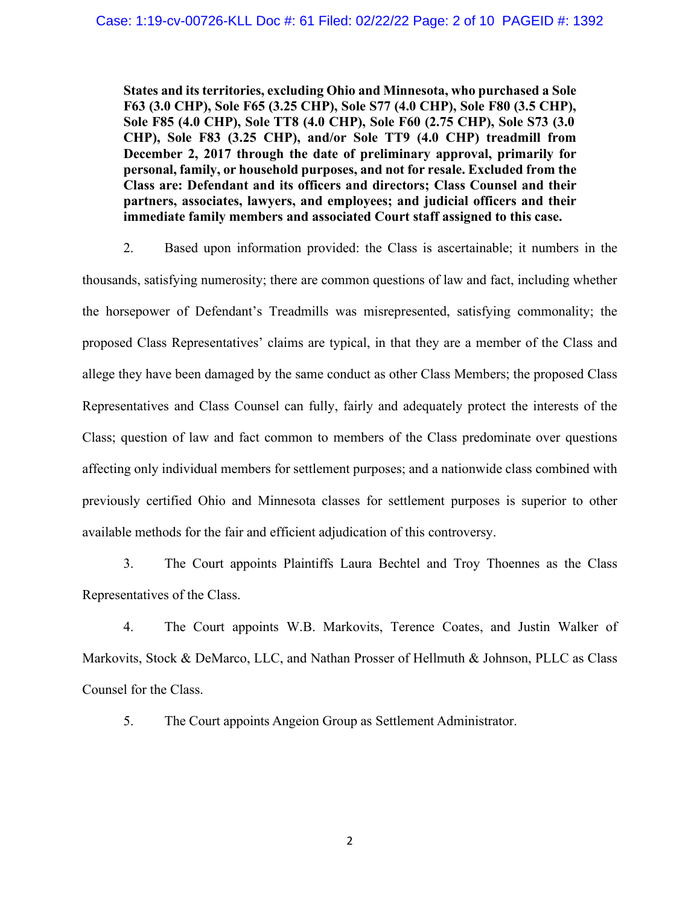**States and its territories, excluding Ohio and Minnesota, who purchased a Sole F63 (3.0 CHP), Sole F65 (3.25 CHP), Sole S77 (4.0 CHP), Sole F80 (3.5 CHP), Sole F85 (4.0 CHP), Sole TT8 (4.0 CHP), Sole F60 (2.75 CHP), Sole S73 (3.0 CHP), Sole F83 (3.25 CHP), and/or Sole TT9 (4.0 CHP) treadmill from December 2, 2017 through the date of preliminary approval, primarily for personal, family, or household purposes, and not for resale. Excluded from the Class are: Defendant and its officers and directors; Class Counsel and their partners, associates, lawyers, and employees; and judicial officers and their immediate family members and associated Court staff assigned to this case.**

2. Based upon information provided: the Class is ascertainable; it numbers in the thousands, satisfying numerosity; there are common questions of law and fact, including whether the horsepower of Defendant's Treadmills was misrepresented, satisfying commonality; the proposed Class Representatives' claims are typical, in that they are a member of the Class and allege they have been damaged by the same conduct as other Class Members; the proposed Class Representatives and Class Counsel can fully, fairly and adequately protect the interests of the Class; question of law and fact common to members of the Class predominate over questions affecting only individual members for settlement purposes; and a nationwide class combined with previously certified Ohio and Minnesota classes for settlement purposes is superior to other available methods for the fair and efficient adjudication of this controversy.

3. The Court appoints Plaintiffs Laura Bechtel and Troy Thoennes as the Class Representatives of the Class.

4. The Court appoints W.B. Markovits, Terence Coates, and Justin Walker of Markovits, Stock & DeMarco, LLC, and Nathan Prosser of Hellmuth & Johnson, PLLC as Class Counsel for the Class.

5. The Court appoints Angeion Group as Settlement Administrator.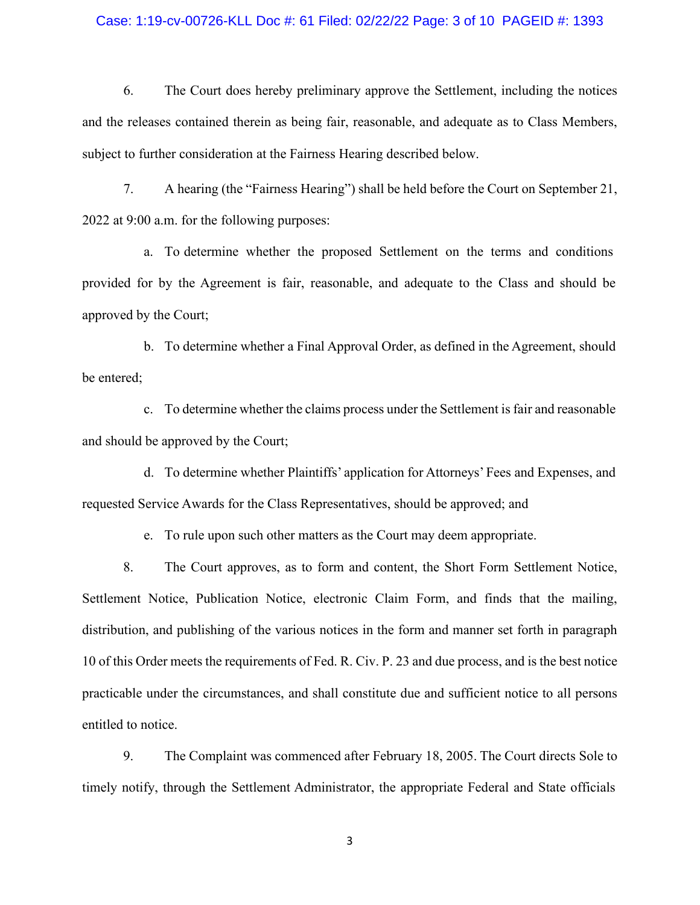#### Case: 1:19-cv-00726-KLL Doc #: 61 Filed: 02/22/22 Page: 3 of 10 PAGEID #: 1393

6. The Court does hereby preliminary approve the Settlement, including the notices and the releases contained therein as being fair, reasonable, and adequate as to Class Members, subject to further consideration at the Fairness Hearing described below.

7. A hearing (the "Fairness Hearing") shall be held before the Court on September 21, 2022 at 9:00 a.m. for the following purposes:

a. To determine whether the proposed Settlement on the terms and conditions provided for by the Agreement is fair, reasonable, and adequate to the Class and should be approved by the Court;

b. To determine whether a Final Approval Order, as defined in the Agreement, should be entered;

c. To determine whether the claims process under the Settlement is fair and reasonable and should be approved by the Court;

d. To determine whether Plaintiffs' application for Attorneys' Fees and Expenses, and requested Service Awards for the Class Representatives, should be approved; and

e. To rule upon such other matters as the Court may deem appropriate.

8. The Court approves, as to form and content, the Short Form Settlement Notice, Settlement Notice, Publication Notice, electronic Claim Form, and finds that the mailing, distribution, and publishing of the various notices in the form and manner set forth in paragraph 10 of this Order meets the requirements of Fed. R. Civ. P. 23 and due process, and is the best notice practicable under the circumstances, and shall constitute due and sufficient notice to all persons entitled to notice.

9. The Complaint was commenced after February 18, 2005. The Court directs Sole to timely notify, through the Settlement Administrator, the appropriate Federal and State officials

3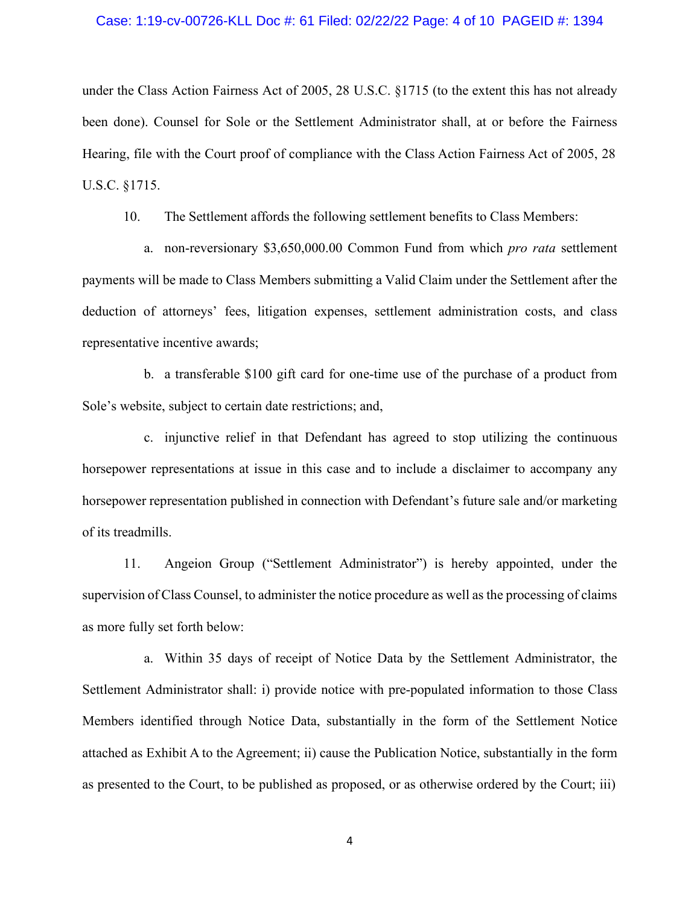#### Case: 1:19-cv-00726-KLL Doc #: 61 Filed: 02/22/22 Page: 4 of 10 PAGEID #: 1394

under the Class Action Fairness Act of 2005, 28 U.S.C. §1715 (to the extent this has not already been done). Counsel for Sole or the Settlement Administrator shall, at or before the Fairness Hearing, file with the Court proof of compliance with the Class Action Fairness Act of 2005, 28 U.S.C. §1715.

10. The Settlement affords the following settlement benefits to Class Members:

a. non-reversionary \$3,650,000.00 Common Fund from which *pro rata* settlement payments will be made to Class Members submitting a Valid Claim under the Settlement after the deduction of attorneys' fees, litigation expenses, settlement administration costs, and class representative incentive awards;

b. a transferable \$100 gift card for one-time use of the purchase of a product from Sole's website, subject to certain date restrictions; and,

c. injunctive relief in that Defendant has agreed to stop utilizing the continuous horsepower representations at issue in this case and to include a disclaimer to accompany any horsepower representation published in connection with Defendant's future sale and/or marketing of its treadmills.

11. Angeion Group ("Settlement Administrator") is hereby appointed, under the supervision of Class Counsel, to administer the notice procedure as well as the processing of claims as more fully set forth below:

a. Within 35 days of receipt of Notice Data by the Settlement Administrator, the Settlement Administrator shall: i) provide notice with pre-populated information to those Class Members identified through Notice Data, substantially in the form of the Settlement Notice attached as Exhibit A to the Agreement; ii) cause the Publication Notice, substantially in the form as presented to the Court, to be published as proposed, or as otherwise ordered by the Court; iii)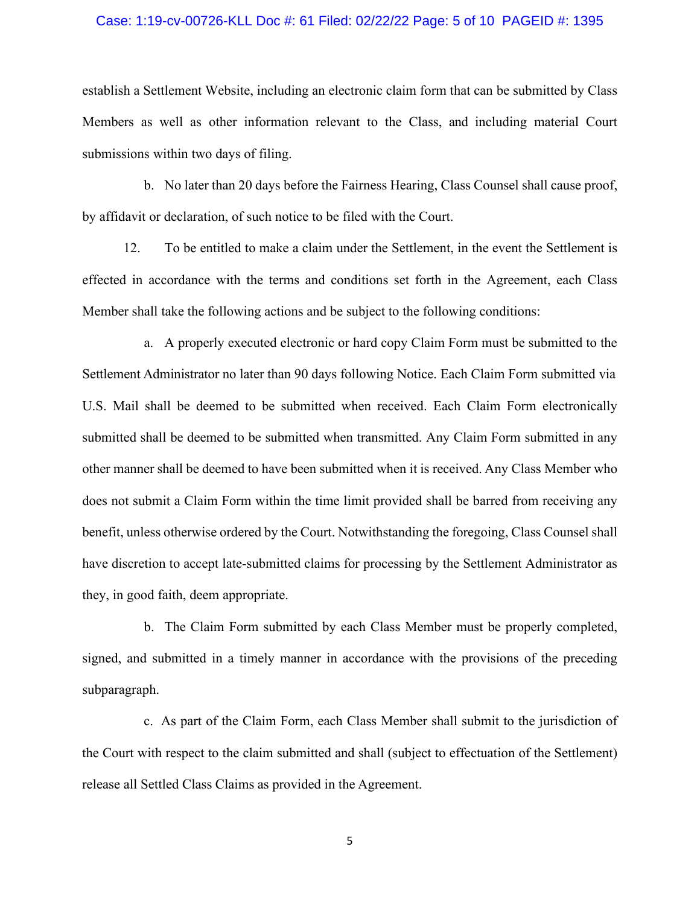#### Case: 1:19-cv-00726-KLL Doc #: 61 Filed: 02/22/22 Page: 5 of 10 PAGEID #: 1395

establish a Settlement Website, including an electronic claim form that can be submitted by Class Members as well as other information relevant to the Class, and including material Court submissions within two days of filing.

b. No later than 20 days before the Fairness Hearing, Class Counsel shall cause proof, by affidavit or declaration, of such notice to be filed with the Court.

12. To be entitled to make a claim under the Settlement, in the event the Settlement is effected in accordance with the terms and conditions set forth in the Agreement, each Class Member shall take the following actions and be subject to the following conditions:

a. A properly executed electronic or hard copy Claim Form must be submitted to the Settlement Administrator no later than 90 days following Notice. Each Claim Form submitted via U.S. Mail shall be deemed to be submitted when received. Each Claim Form electronically submitted shall be deemed to be submitted when transmitted. Any Claim Form submitted in any other manner shall be deemed to have been submitted when it is received. Any Class Member who does not submit a Claim Form within the time limit provided shall be barred from receiving any benefit, unless otherwise ordered by the Court. Notwithstanding the foregoing, Class Counsel shall have discretion to accept late-submitted claims for processing by the Settlement Administrator as they, in good faith, deem appropriate.

b. The Claim Form submitted by each Class Member must be properly completed, signed, and submitted in a timely manner in accordance with the provisions of the preceding subparagraph.

c. As part of the Claim Form, each Class Member shall submit to the jurisdiction of the Court with respect to the claim submitted and shall (subject to effectuation of the Settlement) release all Settled Class Claims as provided in the Agreement.

5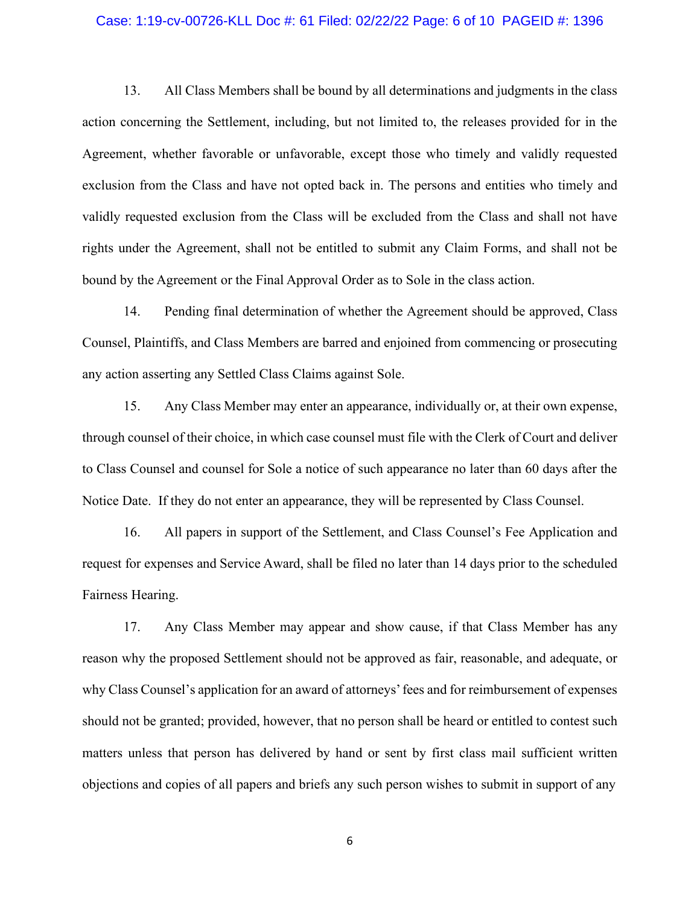#### Case: 1:19-cv-00726-KLL Doc #: 61 Filed: 02/22/22 Page: 6 of 10 PAGEID #: 1396

13. All Class Members shall be bound by all determinations and judgments in the class action concerning the Settlement, including, but not limited to, the releases provided for in the Agreement, whether favorable or unfavorable, except those who timely and validly requested exclusion from the Class and have not opted back in. The persons and entities who timely and validly requested exclusion from the Class will be excluded from the Class and shall not have rights under the Agreement, shall not be entitled to submit any Claim Forms, and shall not be bound by the Agreement or the Final Approval Order as to Sole in the class action.

14. Pending final determination of whether the Agreement should be approved, Class Counsel, Plaintiffs, and Class Members are barred and enjoined from commencing or prosecuting any action asserting any Settled Class Claims against Sole.

15. Any Class Member may enter an appearance, individually or, at their own expense, through counsel of their choice, in which case counsel must file with the Clerk of Court and deliver to Class Counsel and counsel for Sole a notice of such appearance no later than 60 days after the Notice Date. If they do not enter an appearance, they will be represented by Class Counsel.

16. All papers in support of the Settlement, and Class Counsel's Fee Application and request for expenses and Service Award, shall be filed no later than 14 days prior to the scheduled Fairness Hearing.

17. Any Class Member may appear and show cause, if that Class Member has any reason why the proposed Settlement should not be approved as fair, reasonable, and adequate, or why Class Counsel's application for an award of attorneys'fees and for reimbursement of expenses should not be granted; provided, however, that no person shall be heard or entitled to contest such matters unless that person has delivered by hand or sent by first class mail sufficient written objections and copies of all papers and briefs any such person wishes to submit in support of any

6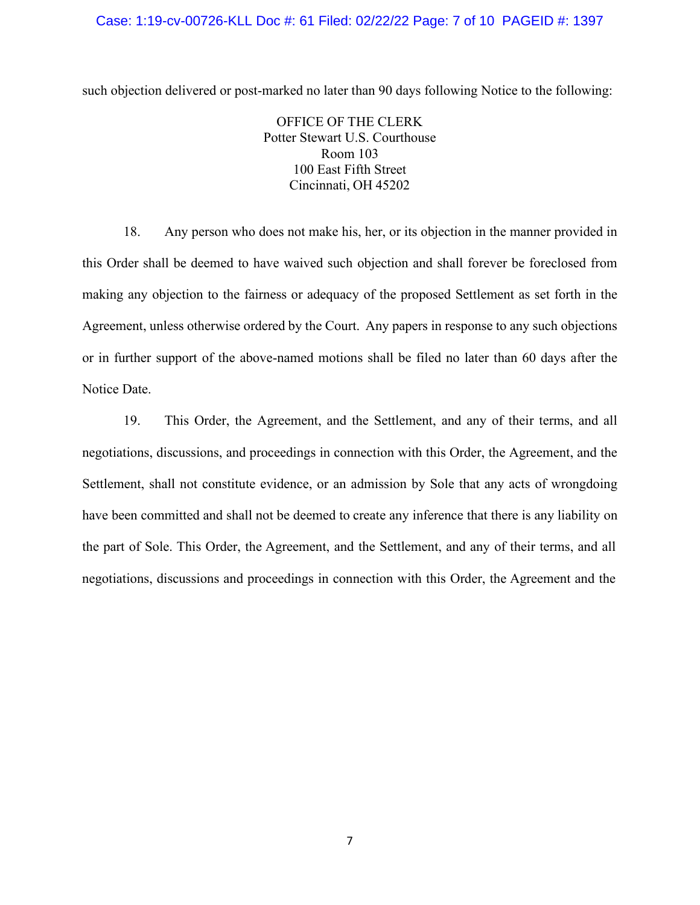#### Case: 1:19-cv-00726-KLL Doc #: 61 Filed: 02/22/22 Page: 7 of 10 PAGEID #: 1397

such objection delivered or post-marked no later than 90 days following Notice to the following:

OFFICE OF THE CLERK Potter Stewart U.S. Courthouse Room 103 100 East Fifth Street Cincinnati, OH 45202

18. Any person who does not make his, her, or its objection in the manner provided in this Order shall be deemed to have waived such objection and shall forever be foreclosed from making any objection to the fairness or adequacy of the proposed Settlement as set forth in the Agreement, unless otherwise ordered by the Court. Any papers in response to any such objections or in further support of the above-named motions shall be filed no later than 60 days after the Notice Date.

19. This Order, the Agreement, and the Settlement, and any of their terms, and all negotiations, discussions, and proceedings in connection with this Order, the Agreement, and the Settlement, shall not constitute evidence, or an admission by Sole that any acts of wrongdoing have been committed and shall not be deemed to create any inference that there is any liability on the part of Sole. This Order, the Agreement, and the Settlement, and any of their terms, and all negotiations, discussions and proceedings in connection with this Order, the Agreement and the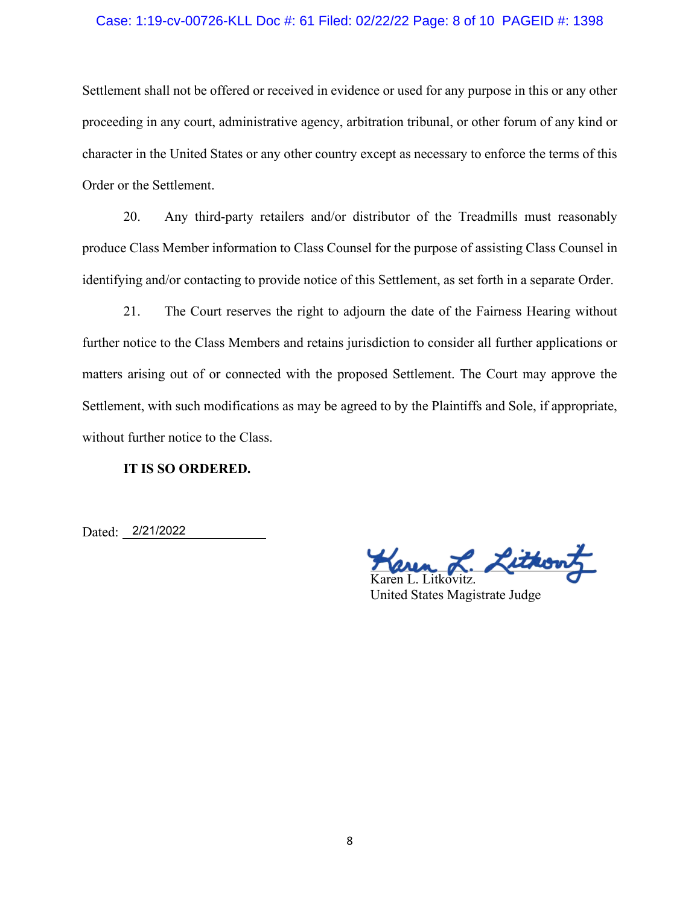#### Case: 1:19-cv-00726-KLL Doc #: 61 Filed: 02/22/22 Page: 8 of 10 PAGEID #: 1398

Settlement shall not be offered or received in evidence or used for any purpose in this or any other proceeding in any court, administrative agency, arbitration tribunal, or other forum of any kind or character in the United States or any other country except as necessary to enforce the terms of this Order or the Settlement.

20. Any third-party retailers and/or distributor of the Treadmills must reasonably produce Class Member information to Class Counsel for the purpose of assisting Class Counsel in identifying and/or contacting to provide notice of this Settlement, as set forth in a separate Order.

21. The Court reserves the right to adjourn the date of the Fairness Hearing without further notice to the Class Members and retains jurisdiction to consider all further applications or matters arising out of or connected with the proposed Settlement. The Court may approve the Settlement, with such modifications as may be agreed to by the Plaintiffs and Sole, if appropriate, without further notice to the Class.

#### **IT IS SO ORDERED.**

Dated: 2/21/2022

sthout

Karen L. Litkovitz. United States Magistrate Judge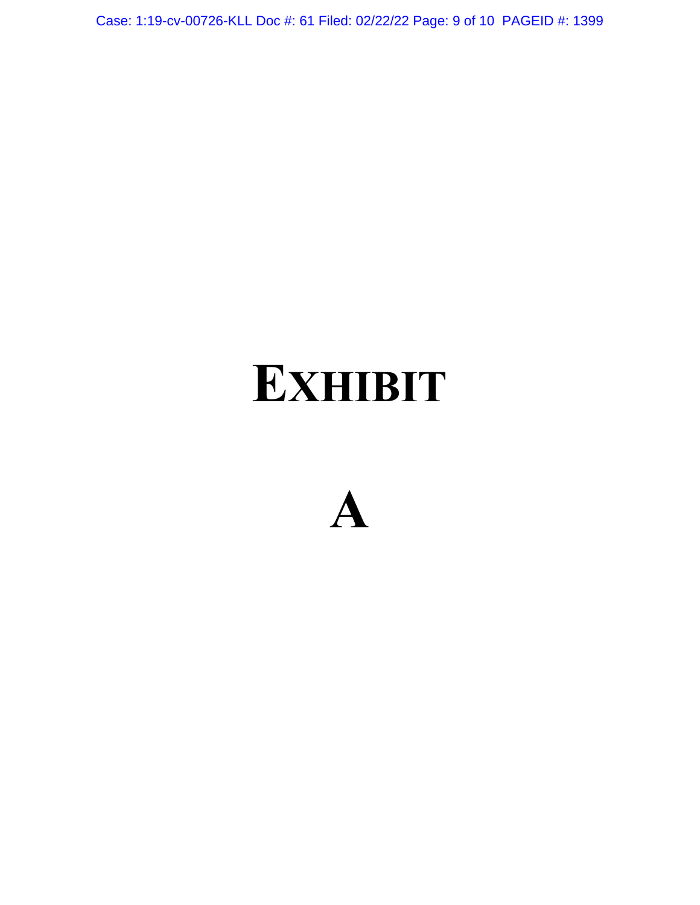Case: 1:19-cv-00726-KLL Doc #: 61 Filed: 02/22/22 Page: 9 of 10 PAGEID #: 1399

# **EXHIBIT**